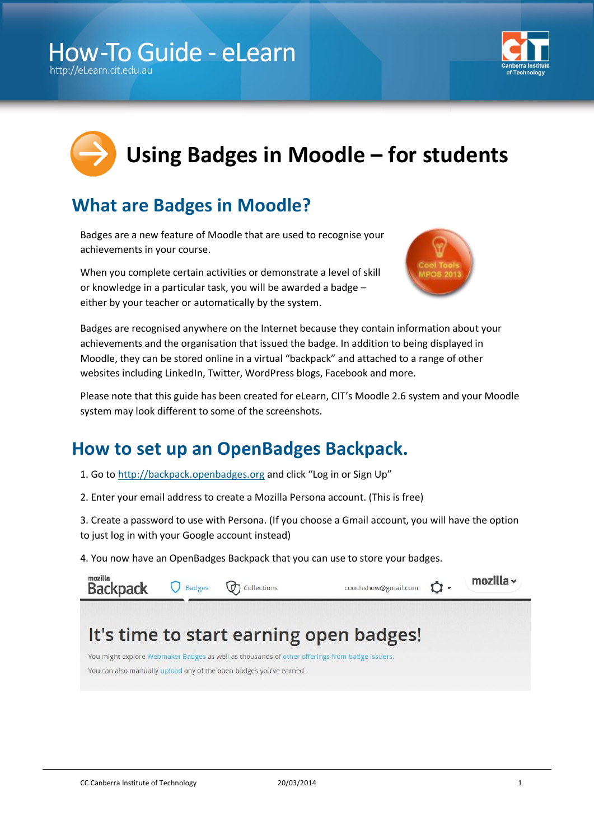## **How-To Guide - eLearn**

http://eLearn.cit.edu.at



# **Using Badges in Moodle – for students**

### **What are Badges in Moodle?**

Badges are a new feature of Moodle that are used to recognise your achievements in your course.

When you complete certain activities or demonstrate a level of skill or knowledge in a particular task, you will be awarded a badge – either by your teacher or automatically by the system.



Badges are recognised anywhere on the Internet because they contain information about your achievements and the organisation that issued the badge. In addition to being displayed in Moodle, they can be stored online in a virtual "backpack" and attached to a range of other websites including LinkedIn, Twitter, WordPress blogs, Facebook and more.

Please note that this guide has been created for eLearn, CIT's Moodle 2.6 system and your Moodle system may look different to some of the screenshots.

#### **How to set up an OpenBadges Backpack.**

- 1. Go to [http://backpack.openbadges.org](http://backpack.openbadges.org/) and click "Log in or Sign Up"
- 2. Enter your email address to create a Mozilla Persona account. (This is free)

3. Create a password to use with Persona. (If you choose a Gmail account, you will have the option to just log in with your Google account instead)

4. You now have an OpenBadges Backpack that you can use to store your badges.

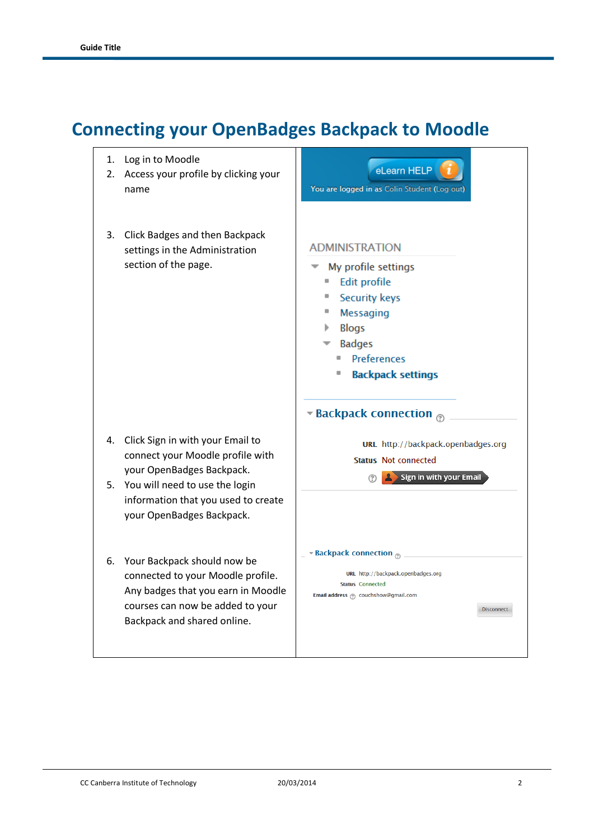### **Connecting your OpenBadges Backpack to Moodle**

1. Log in to Moodle eLearn HELP 2. Access your profile by clicking your You are logged in as Colin Student (Log out) name 3. Click Badges and then Backpack **ADMINISTRATION** settings in the Administration section of the page.  $\blacksquare$  My profile settings **Edit profile Security keys**  $\mathbf{r}$ " Messaging  $\blacktriangleright$  Blogs  $\bullet$  Badges Preferences **Backpack settings Backpack connection** 4. Click Sign in with your Email to URL http://backpack.openbadges.org connect your Moodle profile with Status Not connected your OpenBadges Backpack. Sign in with your Email  $(?)$ 5. You will need to use the login information that you used to create your OpenBadges Backpack. **Example 2** Example 2 Backpack connection 6. Your Backpack should now be URL http://backpack.openbadges.org connected to your Moodle profile. **Status Connected** Any badges that you earn in Moodle Email address @ couchshow@gmail.com courses can now be added to your Disconnect Backpack and shared online.